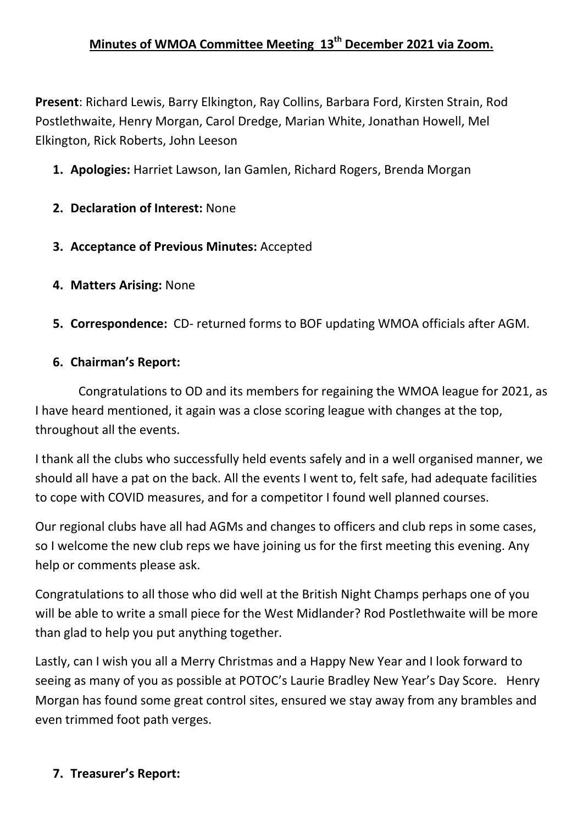# **Minutes of WMOA Committee Meeting 13th December 2021 via Zoom.**

**Present**: Richard Lewis, Barry Elkington, Ray Collins, Barbara Ford, Kirsten Strain, Rod Postlethwaite, Henry Morgan, Carol Dredge, Marian White, Jonathan Howell, Mel Elkington, Rick Roberts, John Leeson

- **1. Apologies:** Harriet Lawson, Ian Gamlen, Richard Rogers, Brenda Morgan
- **2. Declaration of Interest:** None
- **3. Acceptance of Previous Minutes:** Accepted
- **4. Matters Arising:** None
- **5. Correspondence:** CD- returned forms to BOF updating WMOA officials after AGM.

## **6. Chairman's Report:**

 Congratulations to OD and its members for regaining the WMOA league for 2021, as I have heard mentioned, it again was a close scoring league with changes at the top, throughout all the events.

I thank all the clubs who successfully held events safely and in a well organised manner, we should all have a pat on the back. All the events I went to, felt safe, had adequate facilities to cope with COVID measures, and for a competitor I found well planned courses.

Our regional clubs have all had AGMs and changes to officers and club reps in some cases, so I welcome the new club reps we have joining us for the first meeting this evening. Any help or comments please ask.

Congratulations to all those who did well at the British Night Champs perhaps one of you will be able to write a small piece for the West Midlander? Rod Postlethwaite will be more than glad to help you put anything together.

Lastly, can I wish you all a Merry Christmas and a Happy New Year and I look forward to seeing as many of you as possible at POTOC's Laurie Bradley New Year's Day Score. Henry Morgan has found some great control sites, ensured we stay away from any brambles and even trimmed foot path verges.

## **7. Treasurer's Report:**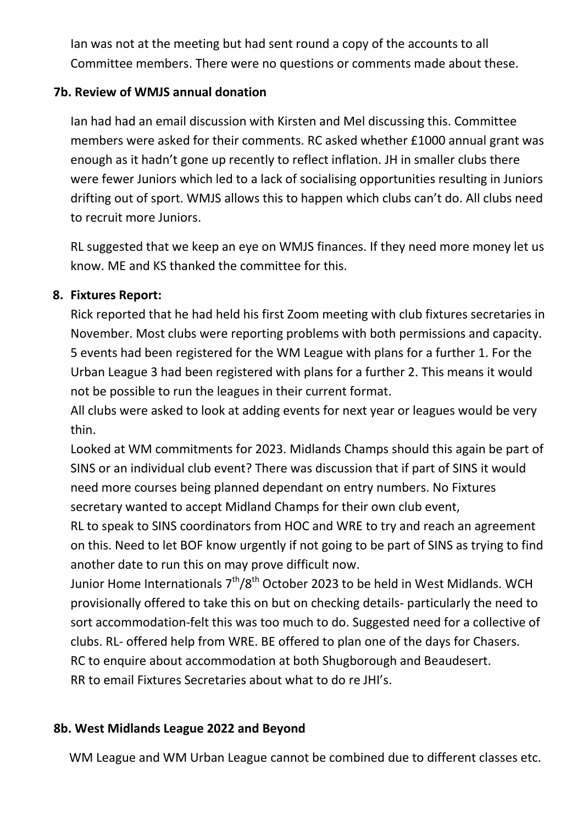Ian was not at the meeting but had sent round a copy of the accounts to all Committee members. There were no questions or comments made about these.

## **7b. Review of WMJS annual donation**

Ian had had an email discussion with Kirsten and Mel discussing this. Committee members were asked for their comments. RC asked whether £1000 annual grant was enough as it hadn't gone up recently to reflect inflation. JH in smaller clubs there were fewer Juniors which led to a lack of socialising opportunities resulting in Juniors drifting out of sport. WMJS allows this to happen which clubs can't do. All clubs need to recruit more Juniors.

RL suggested that we keep an eye on WMJS finances. If they need more money let us know. ME and KS thanked the committee for this.

## **8. Fixtures Report:**

Rick reported that he had held his first Zoom meeting with club fixtures secretaries in November. Most clubs were reporting problems with both permissions and capacity. 5 events had been registered for the WM League with plans for a further 1. For the Urban League 3 had been registered with plans for a further 2. This means it would not be possible to run the leagues in their current format.

All clubs were asked to look at adding events for next year or leagues would be very thin.

Looked at WM commitments for 2023. Midlands Champs should this again be part of SINS or an individual club event? There was discussion that if part of SINS it would need more courses being planned dependant on entry numbers. No Fixtures secretary wanted to accept Midland Champs for their own club event,

RL to speak to SINS coordinators from HOC and WRE to try and reach an agreement on this. Need to let BOF know urgently if not going to be part of SINS as trying to find another date to run this on may prove difficult now.

Junior Home Internationals  $7<sup>th</sup>/8<sup>th</sup>$  October 2023 to be held in West Midlands. WCH provisionally offered to take this on but on checking details- particularly the need to sort accommodation-felt this was too much to do. Suggested need for a collective of clubs. RL- offered help from WRE. BE offered to plan one of the days for Chasers. RC to enquire about accommodation at both Shugborough and Beaudesert. RR to email Fixtures Secretaries about what to do re JHI's.

## **8b. West Midlands League 2022 and Beyond**

WM League and WM Urban League cannot be combined due to different classes etc.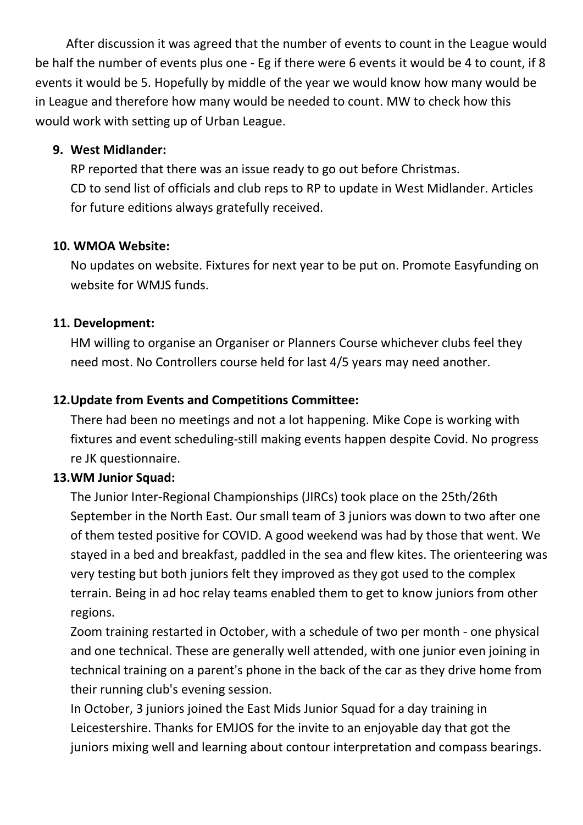After discussion it was agreed that the number of events to count in the League would be half the number of events plus one - Eg if there were 6 events it would be 4 to count, if 8 events it would be 5. Hopefully by middle of the year we would know how many would be in League and therefore how many would be needed to count. MW to check how this would work with setting up of Urban League.

#### **9. West Midlander:**

RP reported that there was an issue ready to go out before Christmas. CD to send list of officials and club reps to RP to update in West Midlander. Articles for future editions always gratefully received.

## **10. WMOA Website:**

No updates on website. Fixtures for next year to be put on. Promote Easyfunding on website for WMJS funds.

#### **11. Development:**

HM willing to organise an Organiser or Planners Course whichever clubs feel they need most. No Controllers course held for last 4/5 years may need another.

## **12.Update from Events and Competitions Committee:**

There had been no meetings and not a lot happening. Mike Cope is working with fixtures and event scheduling-still making events happen despite Covid. No progress re JK questionnaire.

## **13.WM Junior Squad:**

The Junior Inter-Regional Championships (JIRCs) took place on the 25th/26th September in the North East. Our small team of 3 juniors was down to two after one of them tested positive for COVID. A good weekend was had by those that went. We stayed in a bed and breakfast, paddled in the sea and flew kites. The orienteering was very testing but both juniors felt they improved as they got used to the complex terrain. Being in ad hoc relay teams enabled them to get to know juniors from other regions.

Zoom training restarted in October, with a schedule of two per month - one physical and one technical. These are generally well attended, with one junior even joining in technical training on a parent's phone in the back of the car as they drive home from their running club's evening session.

In October, 3 juniors joined the East Mids Junior Squad for a day training in Leicestershire. Thanks for EMJOS for the invite to an enjoyable day that got the juniors mixing well and learning about contour interpretation and compass bearings.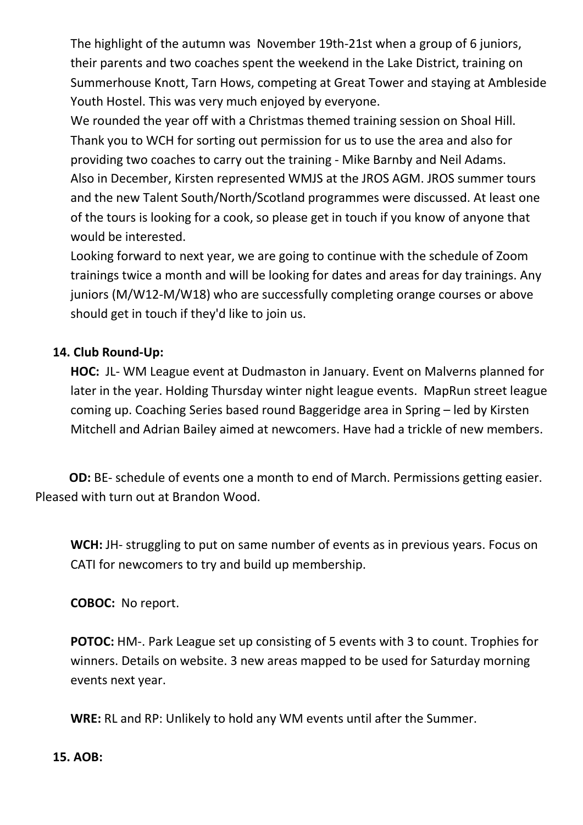The highlight of the autumn was November 19th-21st when a group of 6 juniors, their parents and two coaches spent the weekend in the Lake District, training on Summerhouse Knott, Tarn Hows, competing at Great Tower and staying at Ambleside Youth Hostel. This was very much enjoyed by everyone.

We rounded the year off with a Christmas themed training session on Shoal Hill. Thank you to WCH for sorting out permission for us to use the area and also for providing two coaches to carry out the training - Mike Barnby and Neil Adams. Also in December, Kirsten represented WMJS at the JROS AGM. JROS summer tours and the new Talent South/North/Scotland programmes were discussed. At least one of the tours is looking for a cook, so please get in touch if you know of anyone that would be interested.

Looking forward to next year, we are going to continue with the schedule of Zoom trainings twice a month and will be looking for dates and areas for day trainings. Any juniors (M/W12-M/W18) who are successfully completing orange courses or above should get in touch if they'd like to join us.

## **14. Club Round-Up:**

**HOC:** JL- WM League event at Dudmaston in January. Event on Malverns planned for later in the year. Holding Thursday winter night league events. MapRun street league coming up. Coaching Series based round Baggeridge area in Spring – led by Kirsten Mitchell and Adrian Bailey aimed at newcomers. Have had a trickle of new members.

**OD:** BE- schedule of events one a month to end of March. Permissions getting easier. Pleased with turn out at Brandon Wood.

**WCH:** JH- struggling to put on same number of events as in previous years. Focus on CATI for newcomers to try and build up membership.

**COBOC:** No report.

**POTOC:** HM-. Park League set up consisting of 5 events with 3 to count. Trophies for winners. Details on website. 3 new areas mapped to be used for Saturday morning events next year.

**WRE:** RL and RP: Unlikely to hold any WM events until after the Summer.

#### **15. AOB:**